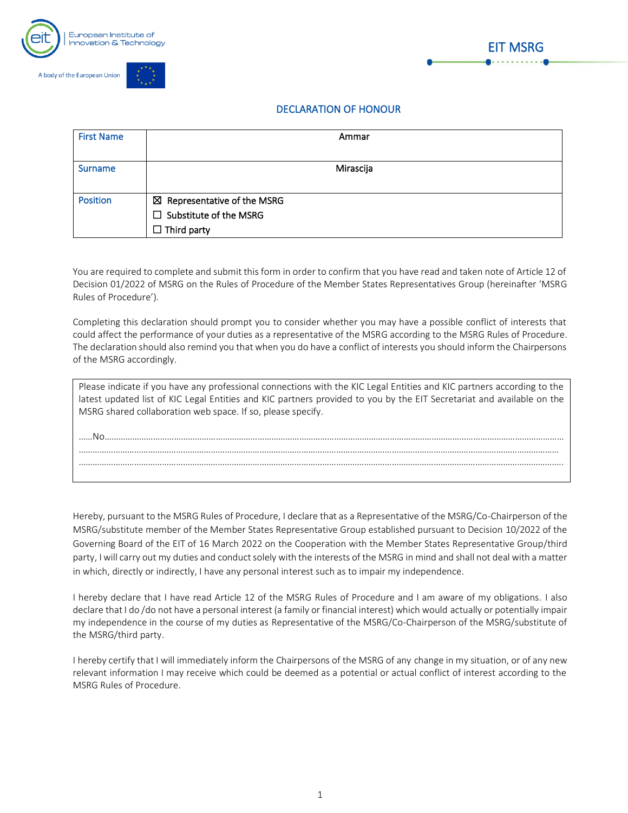



## DECLARATION OF HONOUR

| <b>First Name</b> | Ammar                                  |  |
|-------------------|----------------------------------------|--|
|                   |                                        |  |
| <b>Surname</b>    | Mirascija                              |  |
|                   |                                        |  |
| <b>Position</b>   | $\boxtimes$ Representative of the MSRG |  |
|                   | $\Box$ Substitute of the MSRG          |  |
|                   | $\Box$ Third party                     |  |

You are required to complete and submit this form in order to confirm that you have read and taken note of Article 12 of Decision 01/2022 of MSRG on the Rules of Procedure of the Member States Representatives Group (hereinafter 'MSRG Rules of Procedure').

Completing this declaration should prompt you to consider whether you may have a possible conflict of interests that could affect the performance of your duties as a representative of the MSRG according to the MSRG Rules of Procedure. The declaration should also remind you that when you do have a conflict of interests you should inform the Chairpersons of the MSRG accordingly.

| Please indicate if you have any professional connections with the KIC Legal Entities and KIC partners according to the<br>latest updated list of KIC Legal Entities and KIC partners provided to you by the EIT Secretariat and available on the<br>MSRG shared collaboration web space. If so, please specify. |
|-----------------------------------------------------------------------------------------------------------------------------------------------------------------------------------------------------------------------------------------------------------------------------------------------------------------|
|                                                                                                                                                                                                                                                                                                                 |
|                                                                                                                                                                                                                                                                                                                 |
|                                                                                                                                                                                                                                                                                                                 |

Hereby, pursuant to the MSRG Rules of Procedure, I declare that as a Representative of the MSRG/Co-Chairperson of the MSRG/substitute member of the Member States Representative Group established pursuant to Decision 10/2022 of the Governing Board of the EIT of 16 March 2022 on the Cooperation with the Member States Representative Group/third party, I will carry out my duties and conduct solely with the interests of the MSRG in mind and shall not deal with a matter in which, directly or indirectly, I have any personal interest such as to impair my independence.

I hereby declare that I have read Article 12 of the MSRG Rules of Procedure and I am aware of my obligations. I also declare that I do /do not have a personal interest (a family or financial interest) which would actually or potentially impair my independence in the course of my duties as Representative of the MSRG/Co-Chairperson of the MSRG/substitute of the MSRG/third party.

I hereby certify that I will immediately inform the Chairpersons of the MSRG of any change in my situation, or of any new relevant information I may receive which could be deemed as a potential or actual conflict of interest according to the MSRG Rules of Procedure.